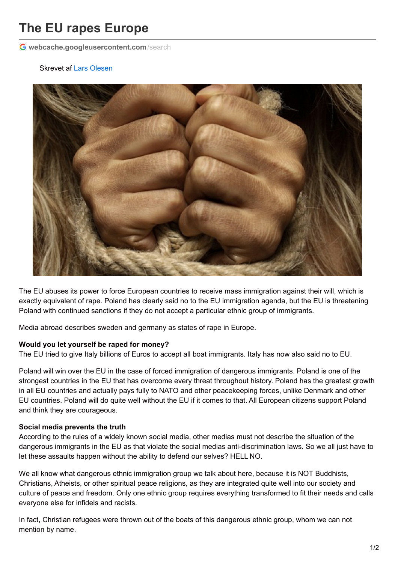# **The EU rapes Europe**

**[webcache.googleusercontent.com](http://webcache.googleusercontent.com/search?q=cache:5qRrlC76Q0MJ:www.observanten.dk/index.php/english/11-think-again-news/news-english/53-the-eu-rapes-europe+&cd=1&hl=de&ct=clnk&gl=de&client=firefox-b)**/search

#### Skrevet af Lars [Olesen](http://www.observanten.dk/index.php/component/jsn/Lars333?Itemid=)



The EU abuses its power to force European countries to receive mass immigration against their will, which is exactly equivalent of rape. Poland has clearly said no to the EU immigration agenda, but the EU is threatening Poland with continued sanctions if they do not accept a particular ethnic group of immigrants.

Media abroad describes sweden and germany as states of rape in Europe.

#### **Would you let yourself be raped for money?**

The EU tried to give Italy billions of Euros to accept all boat immigrants. Italy has now also said no to EU.

Poland will win over the EU in the case of forced immigration of dangerous immigrants. Poland is one of the strongest countries in the EU that has overcome every threat throughout history. Poland has the greatest growth in all EU countries and actually pays fully to NATO and other peacekeeping forces, unlike Denmark and other EU countries. Poland will do quite well without the EU if it comes to that. All European citizens support Poland and think they are courageous.

## **Social media prevents the truth**

According to the rules of a widely known social media, other medias must not describe the situation of the dangerous immigrants in the EU as that violate the social medias anti-discrimination laws. So we all just have to let these assaults happen without the ability to defend our selves? HELL NO.

We all know what dangerous ethnic immigration group we talk about here, because it is NOT Buddhists, Christians, Atheists, or other spiritual peace religions, as they are integrated quite well into our society and culture of peace and freedom. Only one ethnic group requires everything transformed to fit their needs and calls everyone else for infidels and racists.

In fact, Christian refugees were thrown out of the boats of this dangerous ethnic group, whom we can not mention by name.